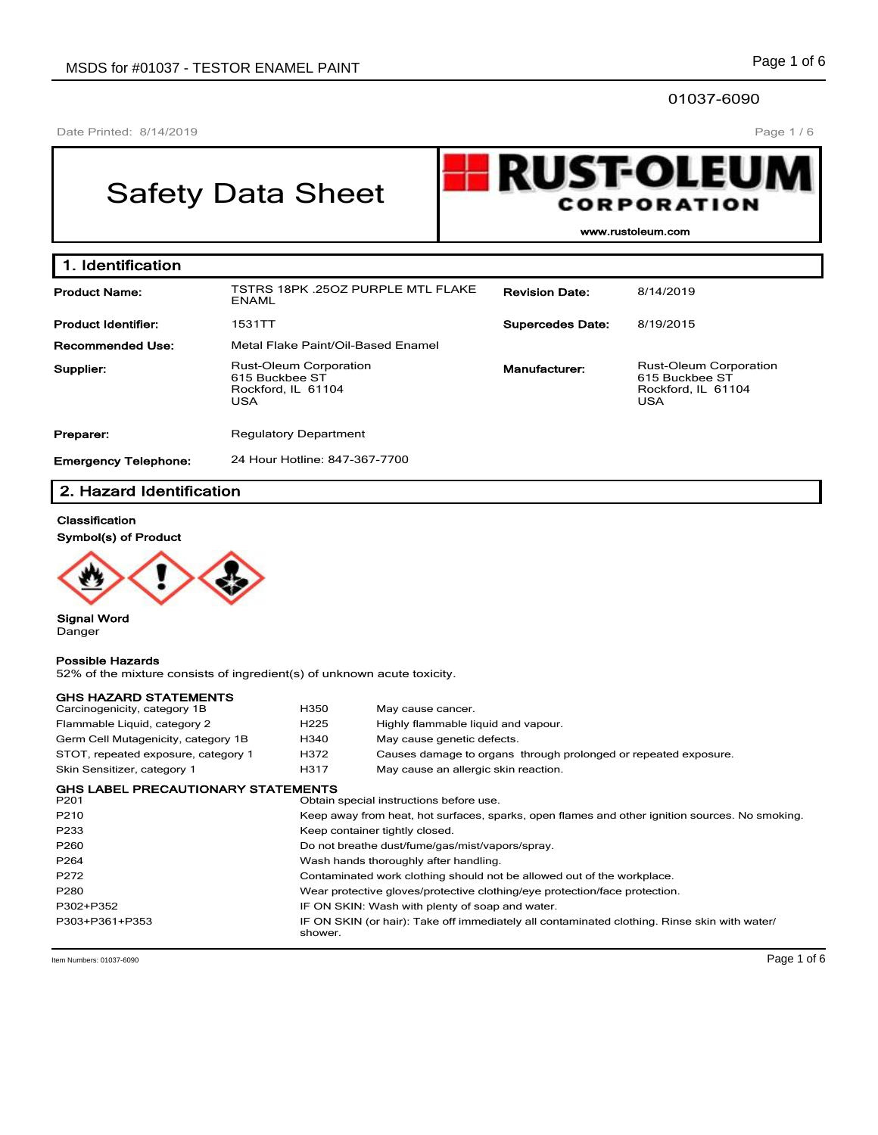Page 1 / 6

# Safety Data Sheet



**www.rustoleum.com**

| 1. Identification           |                                                                                     |                         |                                                                                     |
|-----------------------------|-------------------------------------------------------------------------------------|-------------------------|-------------------------------------------------------------------------------------|
| <b>Product Name:</b>        | <b>TSTRS 18PK .25OZ PURPLE MTL FLAKE</b><br><b>ENAML</b>                            | <b>Revision Date:</b>   | 8/14/2019                                                                           |
| <b>Product Identifier:</b>  | 1531TT                                                                              | <b>Supercedes Date:</b> | 8/19/2015                                                                           |
| <b>Recommended Use:</b>     | Metal Flake Paint/Oil-Based Enamel                                                  |                         |                                                                                     |
| Supplier:                   | <b>Rust-Oleum Corporation</b><br>615 Buckbee ST<br>Rockford, IL 61104<br><b>USA</b> | Manufacturer:           | <b>Rust-Oleum Corporation</b><br>615 Buckbee ST<br>Rockford, IL 61104<br><b>USA</b> |
| Preparer:                   | <b>Regulatory Department</b>                                                        |                         |                                                                                     |
| <b>Emergency Telephone:</b> | 24 Hour Hotline: 847-367-7700                                                       |                         |                                                                                     |

# **2. Hazard Identification**

# **Classification**

**Symbol(s) of Product**



**Signal Word** Danger

### **Possible Hazards**

52% of the mixture consists of ingredient(s) of unknown acute toxicity.

| GHS HAZARD STATEMENTS                      |                  |                                                                                                |  |  |  |  |
|--------------------------------------------|------------------|------------------------------------------------------------------------------------------------|--|--|--|--|
| Carcinogenicity, category 1B               | H350             | May cause cancer.                                                                              |  |  |  |  |
| Flammable Liquid, category 2               | H <sub>225</sub> | Highly flammable liquid and vapour.                                                            |  |  |  |  |
| Germ Cell Mutagenicity, category 1B        | H340             | May cause genetic defects.                                                                     |  |  |  |  |
| STOT, repeated exposure, category 1        | H372             | Causes damage to organs through prolonged or repeated exposure.                                |  |  |  |  |
| Skin Sensitizer, category 1                | H317             | May cause an allergic skin reaction.                                                           |  |  |  |  |
| GHS LABEL PRECAUTIONARY STATEMENTS<br>P201 |                  | Obtain special instructions before use.                                                        |  |  |  |  |
| P210                                       |                  | Keep away from heat, hot surfaces, sparks, open flames and other ignition sources. No smoking. |  |  |  |  |
| P233                                       |                  | Keep container tightly closed.                                                                 |  |  |  |  |
| P260                                       |                  | Do not breathe dust/fume/gas/mist/vapors/spray.                                                |  |  |  |  |
| P264                                       |                  | Wash hands thoroughly after handling.                                                          |  |  |  |  |
| P272                                       |                  | Contaminated work clothing should not be allowed out of the workplace.                         |  |  |  |  |
| P280                                       |                  | Wear protective gloves/protective clothing/eye protection/face protection.                     |  |  |  |  |
| P302+P352                                  |                  | IF ON SKIN: Wash with plenty of soap and water.                                                |  |  |  |  |
| P303+P361+P353                             | shower.          | IF ON SKIN (or hair): Take off immediately all contaminated clothing. Rinse skin with water/   |  |  |  |  |

Item Numbers: 01037-6090 **Page 1 of 6**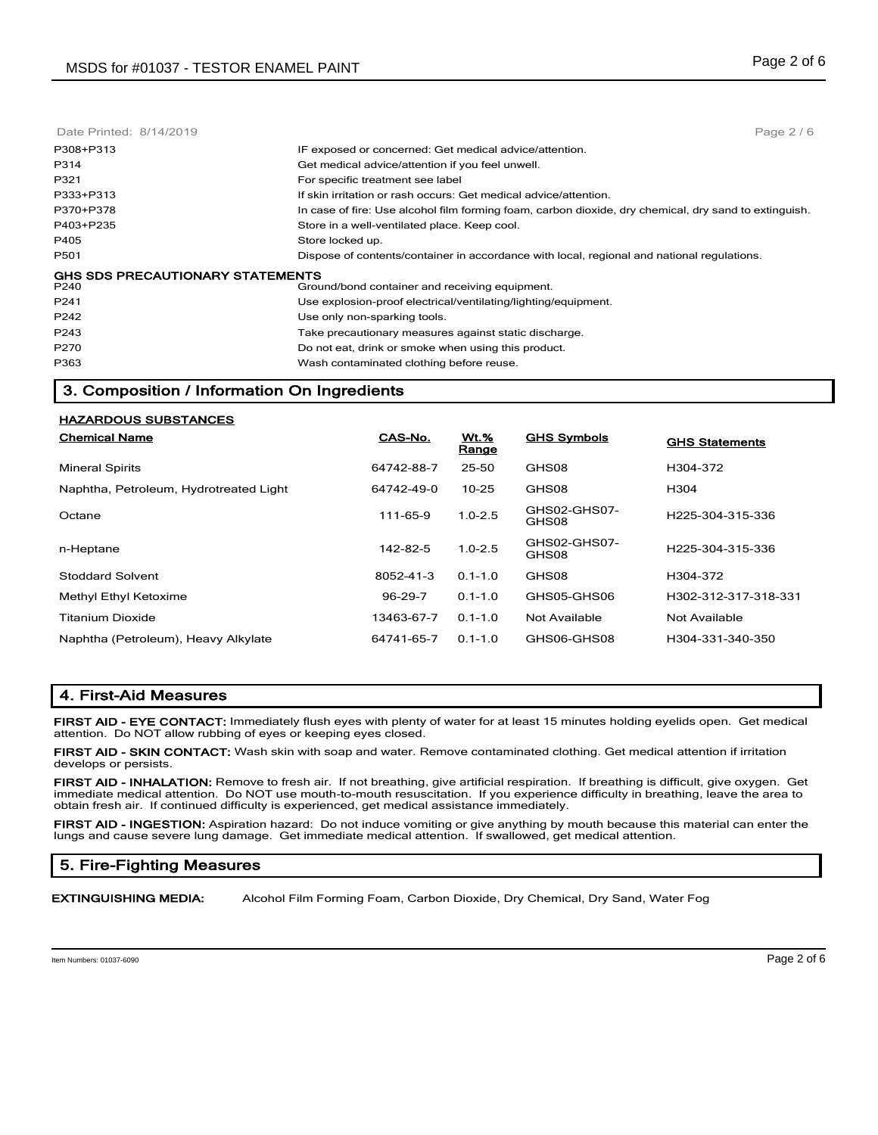| Date Printed: 8/14/2019                 | Page 2/6                                                                                              |
|-----------------------------------------|-------------------------------------------------------------------------------------------------------|
| P308+P313                               | IF exposed or concerned: Get medical advice/attention.                                                |
| P314                                    | Get medical advice/attention if you feel unwell.                                                      |
| P321                                    | For specific treatment see label                                                                      |
| P333+P313                               | If skin irritation or rash occurs: Get medical advice/attention.                                      |
| P370+P378                               | In case of fire: Use alcohol film forming foam, carbon dioxide, dry chemical, dry sand to extinguish. |
| P403+P235                               | Store in a well-ventilated place. Keep cool.                                                          |
| P405                                    | Store locked up.                                                                                      |
| P <sub>501</sub>                        | Dispose of contents/container in accordance with local, regional and national regulations.            |
| <b>GHS SDS PRECAUTIONARY STATEMENTS</b> |                                                                                                       |
| P240                                    | Ground/bond container and receiving equipment.                                                        |
| P <sub>241</sub>                        | Use explosion-proof electrical/ventilating/lighting/equipment.                                        |
| P242                                    | Use only non-sparking tools.                                                                          |
| P243                                    | Take precautionary measures against static discharge.                                                 |
| P270                                    | Do not eat, drink or smoke when using this product.                                                   |
| P363                                    | Wash contaminated clothing before reuse.                                                              |

# **3. Composition / Information On Ingredients**

## **HAZARDOUS SUBSTANCES**

| <b>Chemical Name</b>                   | CAS-No.    | $Wt.$ %<br>Range | <b>GHS Symbols</b>    | <b>GHS Statements</b> |
|----------------------------------------|------------|------------------|-----------------------|-----------------------|
| <b>Mineral Spirits</b>                 | 64742-88-7 | 25-50            | GHS08                 | H304-372              |
| Naphtha, Petroleum, Hydrotreated Light | 64742-49-0 | $10 - 25$        | GHS08                 | H <sub>304</sub>      |
| Octane                                 | 111-65-9   | $1.0 - 2.5$      | GHS02-GHS07-<br>GHS08 | H225-304-315-336      |
| n-Heptane                              | 142-82-5   | $1.0 - 2.5$      | GHS02-GHS07-<br>GHS08 | H225-304-315-336      |
| <b>Stoddard Solvent</b>                | 8052-41-3  | $0.1 - 1.0$      | GHS08                 | H304-372              |
| Methyl Ethyl Ketoxime                  | $96-29-7$  | $0.1 - 1.0$      | GHS05-GHS06           | H302-312-317-318-331  |
| Titanium Dioxide                       | 13463-67-7 | $0.1 - 1.0$      | Not Available         | Not Available         |
| Naphtha (Petroleum), Heavy Alkylate    | 64741-65-7 | $0.1 - 1.0$      | GHS06-GHS08           | H304-331-340-350      |

# **4. First-Aid Measures**

**FIRST AID - EYE CONTACT:** Immediately flush eyes with plenty of water for at least 15 minutes holding eyelids open. Get medical attention. Do NOT allow rubbing of eyes or keeping eyes closed.

**FIRST AID - SKIN CONTACT:** Wash skin with soap and water. Remove contaminated clothing. Get medical attention if irritation develops or persists.

**FIRST AID - INHALATION:** Remove to fresh air. If not breathing, give artificial respiration. If breathing is difficult, give oxygen. Get immediate medical attention. Do NOT use mouth-to-mouth resuscitation. If you experience difficulty in breathing, leave the area to obtain fresh air. If continued difficulty is experienced, get medical assistance immediately.

**FIRST AID - INGESTION:** Aspiration hazard: Do not induce vomiting or give anything by mouth because this material can enter the lungs and cause severe lung damage. Get immediate medical attention. If swallowed, get medical attention.

# **5. Fire-Fighting Measures**

**EXTINGUISHING MEDIA:** Alcohol Film Forming Foam, Carbon Dioxide, Dry Chemical, Dry Sand, Water Fog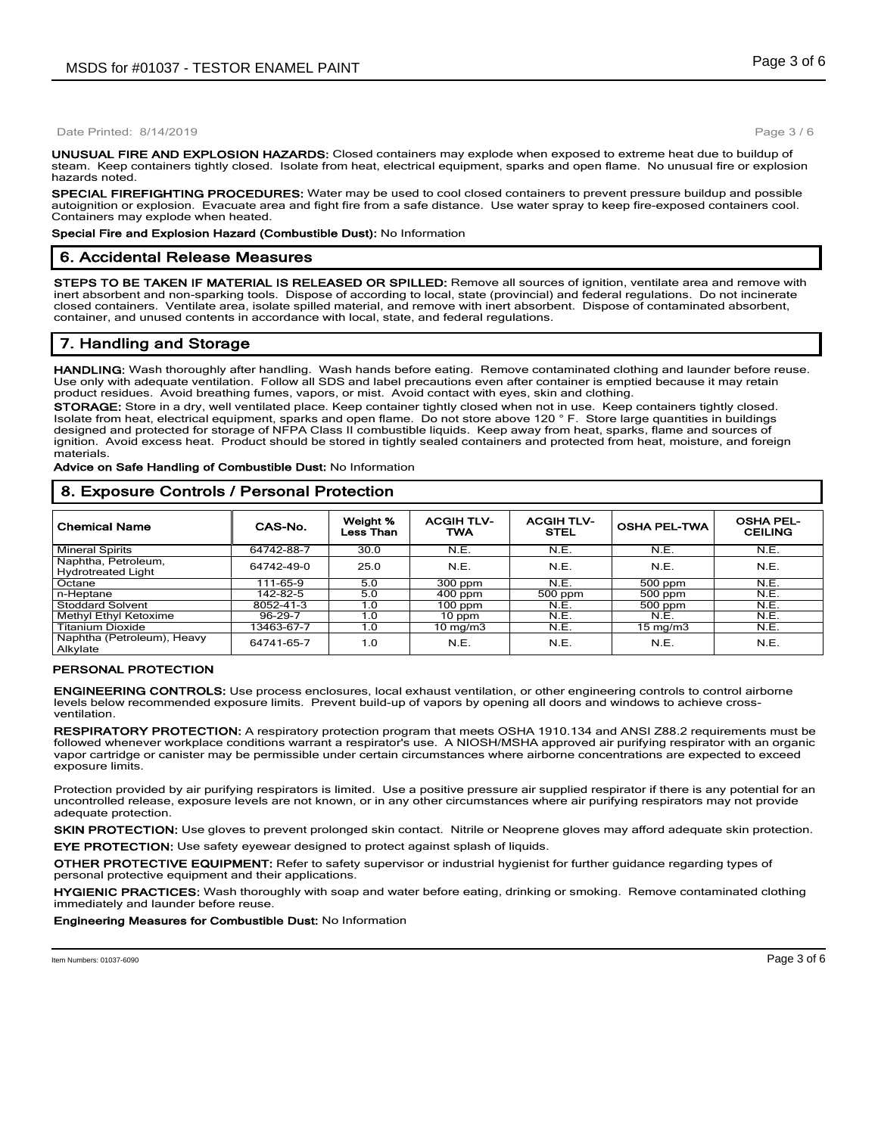Page 3 / 6

**UNUSUAL FIRE AND EXPLOSION HAZARDS:** Closed containers may explode when exposed to extreme heat due to buildup of steam. Keep containers tightly closed. Isolate from heat, electrical equipment, sparks and open flame. No unusual fire or explosion hazards noted.

**SPECIAL FIREFIGHTING PROCEDURES:** Water may be used to cool closed containers to prevent pressure buildup and possible autoignition or explosion. Evacuate area and fight fire from a safe distance. Use water spray to keep fire-exposed containers cool. Containers may explode when heated.

**Special Fire and Explosion Hazard (Combustible Dust):** No Information

### **6. Accidental Release Measures**

**STEPS TO BE TAKEN IF MATERIAL IS RELEASED OR SPILLED:** Remove all sources of ignition, ventilate area and remove with inert absorbent and non-sparking tools. Dispose of according to local, state (provincial) and federal regulations. Do not incinerate closed containers. Ventilate area, isolate spilled material, and remove with inert absorbent. Dispose of contaminated absorbent, container, and unused contents in accordance with local, state, and federal regulations.

# **7. Handling and Storage**

**HANDLING:** Wash thoroughly after handling. Wash hands before eating. Remove contaminated clothing and launder before reuse. Use only with adequate ventilation. Follow all SDS and label precautions even after container is emptied because it may retain product residues. Avoid breathing fumes, vapors, or mist. Avoid contact with eyes, skin and clothing.

**STORAGE:** Store in a dry, well ventilated place. Keep container tightly closed when not in use. Keep containers tightly closed. Isolate from heat, electrical equipment, sparks and open flame. Do not store above 120 ° F. Store large quantities in buildings designed and protected for storage of NFPA Class II combustible liquids. Keep away from heat, sparks, flame and sources of ignition. Avoid excess heat. Product should be stored in tightly sealed containers and protected from heat, moisture, and foreign materials.

**Advice on Safe Handling of Combustible Dust:** No Information

# **8. Exposure Controls / Personal Protection**

| <b>Chemical Name</b>                             | CAS-No.    | Weight %<br>Less Than | <b>ACGIH TLV-</b><br><b>TWA</b> | <b>ACGIH TLV-</b><br><b>STEL</b> | <b>OSHA PEL-TWA</b> | <b>OSHA PEL-</b><br><b>CEILING</b> |
|--------------------------------------------------|------------|-----------------------|---------------------------------|----------------------------------|---------------------|------------------------------------|
| <b>Mineral Spirits</b>                           | 64742-88-7 | 30.0                  | N.E.                            | N.E.                             | N.E.                | N.E.                               |
| Naphtha, Petroleum,<br><b>Hydrotreated Light</b> | 64742-49-0 | 25.0                  | N.E.                            | N.E.                             | N.E.                | N.E.                               |
| Octane                                           | 111-65-9   | 5.0                   | 300 ppm                         | N.E.                             | 500 ppm             | N.E.                               |
| n-Heptane                                        | 142-82-5   | 5.0                   | $400$ ppm                       | 500 ppm                          | 500 ppm             | N.E.                               |
| <b>Stoddard Solvent</b>                          | 8052-41-3  | 1.0                   | $100$ ppm                       | N.E.                             | 500 ppm             | N.E.                               |
| <b>Methyl Ethyl Ketoxime</b>                     | 96-29-7    | 1.0                   | 10 ppm                          | N.E.                             | N.E.                | N.E.                               |
| <b>Titanium Dioxide</b>                          | 13463-67-7 | 1.0                   | $10 \text{ mg/m}$               | N.E.                             | $15 \text{ mg/m}$   | N.E.                               |
| Naphtha (Petroleum), Heavy<br>Alkylate           | 64741-65-7 | 1.0                   | N.E.                            | N.E.                             | N.E.                | N.E.                               |

### **PERSONAL PROTECTION**

**ENGINEERING CONTROLS:** Use process enclosures, local exhaust ventilation, or other engineering controls to control airborne levels below recommended exposure limits. Prevent build-up of vapors by opening all doors and windows to achieve crossventilation.

**RESPIRATORY PROTECTION:** A respiratory protection program that meets OSHA 1910.134 and ANSI Z88.2 requirements must be followed whenever workplace conditions warrant a respirator's use. A NIOSH/MSHA approved air purifying respirator with an organic vapor cartridge or canister may be permissible under certain circumstances where airborne concentrations are expected to exceed exposure limits.

Protection provided by air purifying respirators is limited. Use a positive pressure air supplied respirator if there is any potential for an uncontrolled release, exposure levels are not known, or in any other circumstances where air purifying respirators may not provide adequate protection.

**SKIN PROTECTION:** Use gloves to prevent prolonged skin contact. Nitrile or Neoprene gloves may afford adequate skin protection. **EYE PROTECTION:** Use safety eyewear designed to protect against splash of liquids.

**OTHER PROTECTIVE EQUIPMENT:** Refer to safety supervisor or industrial hygienist for further guidance regarding types of personal protective equipment and their applications.

**HYGIENIC PRACTICES:** Wash thoroughly with soap and water before eating, drinking or smoking. Remove contaminated clothing immediately and launder before reuse.

**Engineering Measures for Combustible Dust:** No Information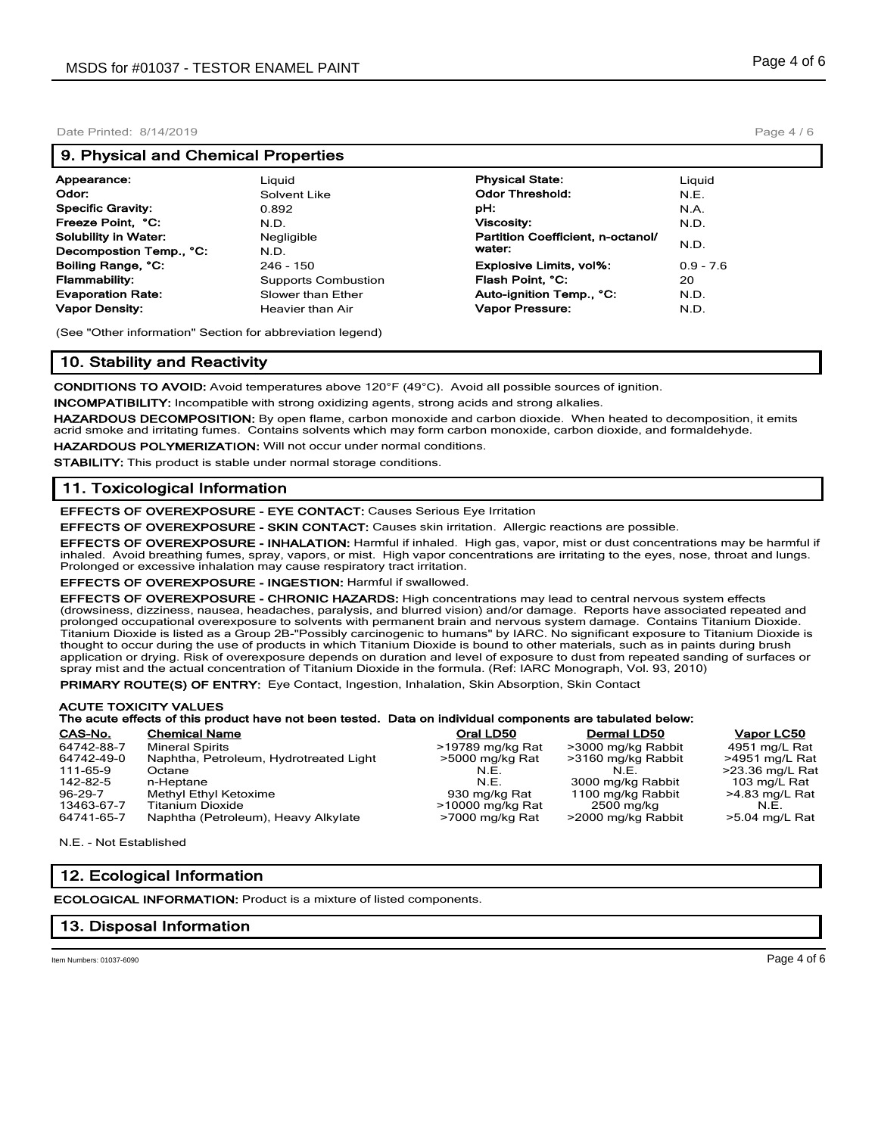### **9. Physical and Chemical Properties**

| Appearance:                 | Liauid                     | <b>Physical State:</b>            |
|-----------------------------|----------------------------|-----------------------------------|
| Odor:                       | Solvent Like               | <b>Odor Threshold:</b>            |
| <b>Specific Gravity:</b>    | 0.892                      | pН:                               |
| Freeze Point, °C:           | N.D.                       | <b>Viscosity:</b>                 |
| <b>Solubility in Water:</b> | Negligible                 | Partition Coefficient, n-octanol/ |
| Decompostion Temp., °C:     | N.D.                       | water:                            |
| Boiling Range, °C:          | $246 - 150$                | Explosive Limits, vol%:           |
| Flammability:               | <b>Supports Combustion</b> | Flash Point, °C:                  |
| <b>Evaporation Rate:</b>    | Slower than Ether          | Auto-ignition Temp., °C:          |
| <b>Vapor Density:</b>       | Heavier than Air           | Vapor Pressure:                   |

| <b>Physical State:</b><br>Appearance:<br>Liauid<br>Liguid                         |  |
|-----------------------------------------------------------------------------------|--|
| <b>Odor Threshold:</b><br>Odor:<br><b>N.E.</b><br>Solvent Like                    |  |
| <b>Specific Gravity:</b><br>pH:<br>N.A.<br>0.892                                  |  |
| Freeze Point, °C:<br><b>Viscosity:</b><br>N.D.<br>N.D.                            |  |
| Solubility in Water:<br>Partition Coefficient. n-octanol/<br>Negligible           |  |
| N.D.<br>water:<br>Decompostion Temp., °C:<br>N.D.                                 |  |
| Boiling Range, °C:<br><b>Explosive Limits, vol%:</b><br>$0.9 - 7.6$<br>246 - 150  |  |
| Flammability:<br>Flash Point, °C:<br><b>Supports Combustion</b><br>20             |  |
| <b>Evaporation Rate:</b><br>Auto-ignition Temp., °C:<br>Slower than Ether<br>N.D. |  |
| Vapor Density:<br><b>Vapor Pressure:</b><br>Heavier than Air<br>N.D.              |  |

(See "Other information" Section for abbreviation legend)

# **10. Stability and Reactivity**

**CONDITIONS TO AVOID:** Avoid temperatures above 120°F (49°C). Avoid all possible sources of ignition.

**INCOMPATIBILITY:** Incompatible with strong oxidizing agents, strong acids and strong alkalies.

**HAZARDOUS DECOMPOSITION:** By open flame, carbon monoxide and carbon dioxide. When heated to decomposition, it emits acrid smoke and irritating fumes. Contains solvents which may form carbon monoxide, carbon dioxide, and formaldehyde.

**HAZARDOUS POLYMERIZATION:** Will not occur under normal conditions.

**STABILITY:** This product is stable under normal storage conditions.

# **11. Toxicological Information**

**EFFECTS OF OVEREXPOSURE - EYE CONTACT:** Causes Serious Eye Irritation

**EFFECTS OF OVEREXPOSURE - SKIN CONTACT:** Causes skin irritation. Allergic reactions are possible.

**EFFECTS OF OVEREXPOSURE - INHALATION:** Harmful if inhaled. High gas, vapor, mist or dust concentrations may be harmful if inhaled. Avoid breathing fumes, spray, vapors, or mist. High vapor concentrations are irritating to the eyes, nose, throat and lungs. Prolonged or excessive inhalation may cause respiratory tract irritation.

**EFFECTS OF OVEREXPOSURE - INGESTION:** Harmful if swallowed.

**EFFECTS OF OVEREXPOSURE - CHRONIC HAZARDS:** High concentrations may lead to central nervous system effects (drowsiness, dizziness, nausea, headaches, paralysis, and blurred vision) and/or damage. Reports have associated repeated and prolonged occupational overexposure to solvents with permanent brain and nervous system damage. Contains Titanium Dioxide. Titanium Dioxide is listed as a Group 2B-"Possibly carcinogenic to humans" by IARC. No significant exposure to Titanium Dioxide is thought to occur during the use of products in which Titanium Dioxide is bound to other materials, such as in paints during brush application or drying. Risk of overexposure depends on duration and level of exposure to dust from repeated sanding of surfaces or spray mist and the actual concentration of Titanium Dioxide in the formula. (Ref: IARC Monograph, Vol. 93, 2010)

**PRIMARY ROUTE(S) OF ENTRY:** Eye Contact, Ingestion, Inhalation, Skin Absorption, Skin Contact

## **ACUTE TOXICITY VALUES**

#### **The acute effects of this product have not been tested. Data on individual components are tabulated below:**

| CAS-No.    | <b>Chemical Name</b>                   | Oral LD50        | <b>Dermal LD50</b> | Vapor LC50      |
|------------|----------------------------------------|------------------|--------------------|-----------------|
| 64742-88-7 | <b>Mineral Spirits</b>                 | >19789 mg/kg Rat | >3000 mg/kg Rabbit | 4951 mg/L Rat   |
| 64742-49-0 | Naphtha, Petroleum, Hydrotreated Light | >5000 mg/kg Rat  | >3160 mg/kg Rabbit | >4951 mg/L Rat  |
| 111-65-9   | Octane                                 | N.E.             | NF                 | >23.36 mg/L Rat |
| 142-82-5   | n-Heptane                              | N.E.             | 3000 mg/kg Rabbit  | 103 mg/L Rat    |
| 96-29-7    | Methyl Ethyl Ketoxime                  | 930 mg/kg Rat    | 1100 mg/kg Rabbit  | >4.83 mg/L Rat  |
| 13463-67-7 | Titanium Dioxide                       | >10000 mg/kg Rat | 2500 mg/kg         | N.E.            |
| 64741-65-7 | Naphtha (Petroleum), Heavy Alkylate    | >7000 mg/kg Rat  | >2000 mg/kg Rabbit | >5.04 mg/L Rat  |

N.E. - Not Established

# **12. Ecological Information**

**ECOLOGICAL INFORMATION:** Product is a mixture of listed components.

# **13. Disposal Information**

Page 4 / 6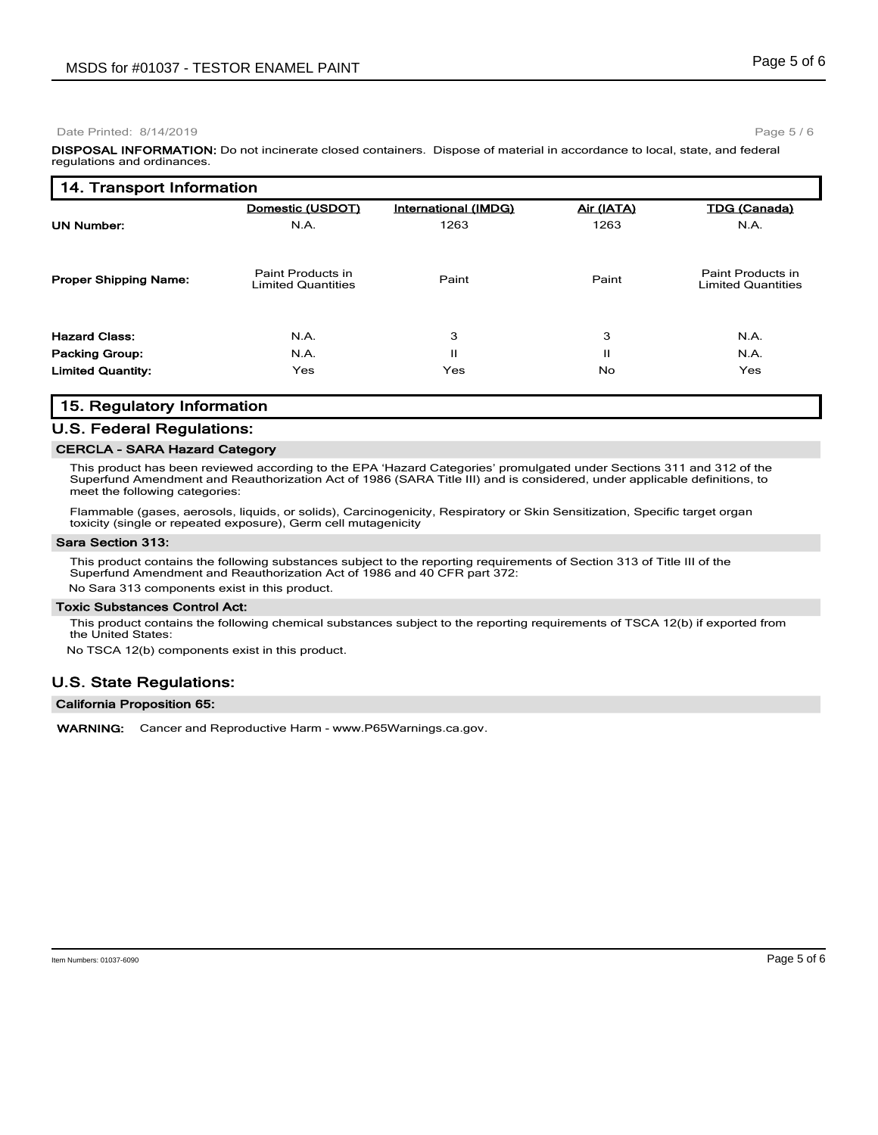Page 5 / 6

**DISPOSAL INFORMATION:** Do not incinerate closed containers. Dispose of material in accordance to local, state, and federal regulations and ordinances.

| 14. Transport Information    |                                                |                      |            |                                                |  |  |
|------------------------------|------------------------------------------------|----------------------|------------|------------------------------------------------|--|--|
|                              | Domestic (USDOT)                               | International (IMDG) | Air (IATA) | <b>TDG (Canada)</b>                            |  |  |
| <b>UN Number:</b>            | N.A.                                           | 1263                 | 1263       | N.A.                                           |  |  |
| <b>Proper Shipping Name:</b> | Paint Products in<br><b>Limited Quantities</b> | Paint                | Paint      | Paint Products in<br><b>Limited Quantities</b> |  |  |
| <b>Hazard Class:</b>         | N.A.                                           | 3                    | 3          | N.A.                                           |  |  |
| <b>Packing Group:</b>        | N.A.                                           | Ш                    | Ш          | N.A.                                           |  |  |
| <b>Limited Quantity:</b>     | Yes                                            | Yes                  | No.        | Yes                                            |  |  |

# **15. Regulatory Information**

# **U.S. Federal Regulations:**

### **CERCLA - SARA Hazard Category**

This product has been reviewed according to the EPA 'Hazard Categories' promulgated under Sections 311 and 312 of the Superfund Amendment and Reauthorization Act of 1986 (SARA Title III) and is considered, under applicable definitions, to meet the following categories:

Flammable (gases, aerosols, liquids, or solids), Carcinogenicity, Respiratory or Skin Sensitization, Specific target organ toxicity (single or repeated exposure), Germ cell mutagenicity

#### **Sara Section 313:**

This product contains the following substances subject to the reporting requirements of Section 313 of Title III of the Superfund Amendment and Reauthorization Act of 1986 and 40 CFR part 372: No Sara 313 components exist in this product.

#### **Toxic Substances Control Act:**

This product contains the following chemical substances subject to the reporting requirements of TSCA 12(b) if exported from the United States:

No TSCA 12(b) components exist in this product.

## **U.S. State Regulations:**

**California Proposition 65:**

**WARNING:** Cancer and Reproductive Harm - www.P65Warnings.ca.gov.